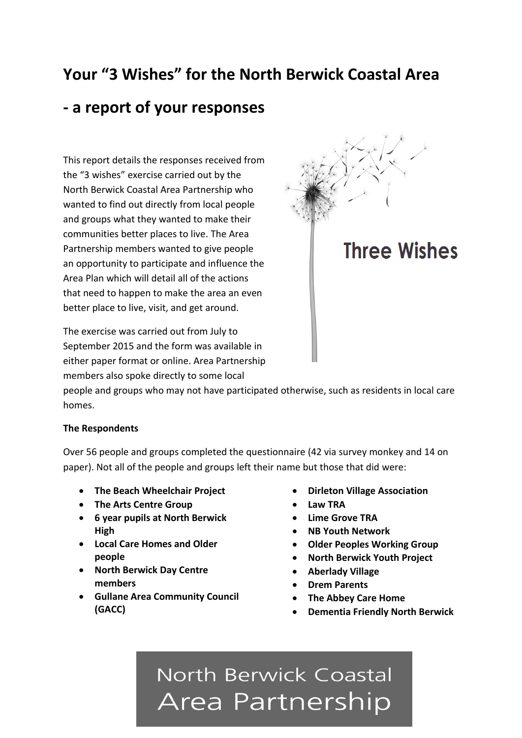# **Your "3 Wishes" for the North Berwick Coastal Area**

# **- a report of your responses**

This report details the responses received from the "3 wishes" exercise carried out by the North Berwick Coastal Area Partnership who wanted to find out directly from local people and groups what they wanted to make their communities better places to live. The Area Partnership members wanted to give people an opportunity to participate and influence the Area Plan which will detail all of the actions that need to happen to make the area an even better place to live, visit, and get around.

The exercise was carried out from July to September 2015 and the form was available in either paper format or online. Area Partnership members also spoke directly to some local

**Three Wishes** 

people and groups who may not have participated otherwise, such as residents in local care homes.

#### **The Respondents**

Over 56 people and groups completed the questionnaire (42 via survey monkey and 14 on paper). Not all of the people and groups left their name but those that did were:

- **The Beach Wheelchair Project**
- **The Arts Centre Group**
- **6 year pupils at North Berwick High**
- **Local Care Homes and Older people**
- **North Berwick Day Centre members**
- **Gullane Area Community Council (GACC)**
- **Dirleton Village Association**
- **Law TRA**
- **Lime Grove TRA**
- **NB Youth Network**
- **Older Peoples Working Group**
- **North Berwick Youth Project**
- **Aberlady Village**
- **Drem Parents**
- **The Abbey Care Home**
- **Dementia Friendly North Berwick**

# North Berwick Coastal Area Partnership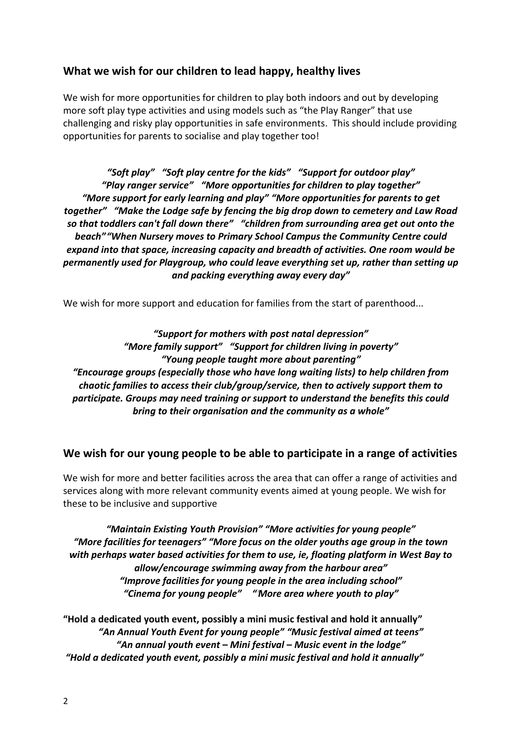#### **What we wish for our children to lead happy, healthy lives**

We wish for more opportunities for children to play both indoors and out by developing more soft play type activities and using models such as "the Play Ranger" that use challenging and risky play opportunities in safe environments. This should include providing opportunities for parents to socialise and play together too!

*"Soft play" "Soft play centre for the kids" "Support for outdoor play" "Play ranger service" "More opportunities for children to play together" "More support for early learning and play" "More opportunities for parents to get together" "Make the Lodge safe by fencing the big drop down to cemetery and Law Road so that toddlers can't fall down there" "children from surrounding area get out onto the beach""When Nursery moves to Primary School Campus the Community Centre could expand into that space, increasing capacity and breadth of activities. One room would be permanently used for Playgroup, who could leave everything set up, rather than setting up and packing everything away every day"*

We wish for more support and education for families from the start of parenthood...

*"Support for mothers with post natal depression" "More family support" "Support for children living in poverty" "Young people taught more about parenting" "Encourage groups (especially those who have long waiting lists) to help children from chaotic families to access their club/group/service, then to actively support them to participate. Groups may need training or support to understand the benefits this could bring to their organisation and the community as a whole"*

#### **We wish for our young people to be able to participate in a range of activities**

We wish for more and better facilities across the area that can offer a range of activities and services along with more relevant community events aimed at young people. We wish for these to be inclusive and supportive

*"Maintain Existing Youth Provision" "More activities for young people" "More facilities for teenagers" "More focus on the older youths age group in the town with perhaps water based activities for them to use, ie, floating platform in West Bay to allow/encourage swimming away from the harbour area" "Improve facilities for young people in the area including school" "Cinema for young people" ""More area where youth to play"*

**"Hold a dedicated youth event, possibly a mini music festival and hold it annually"** *"An Annual Youth Event for young people" "Music festival aimed at teens" "An annual youth event – Mini festival – Music event in the lodge" "Hold a dedicated youth event, possibly a mini music festival and hold it annually"*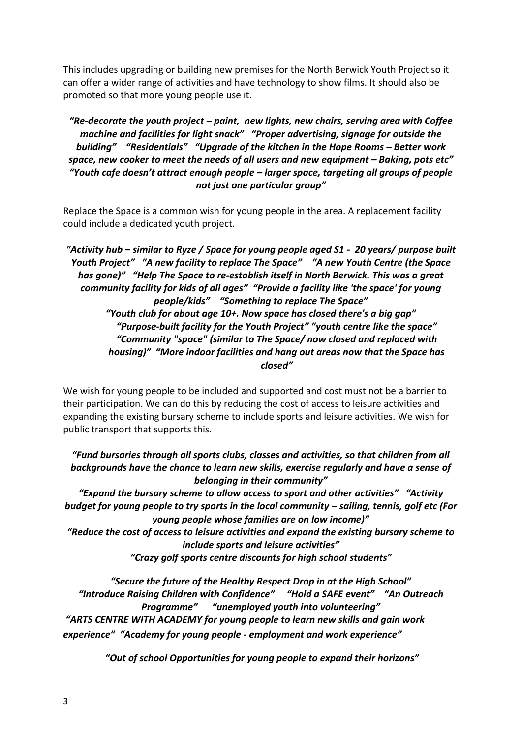This includes upgrading or building new premises for the North Berwick Youth Project so it can offer a wider range of activities and have technology to show films. It should also be promoted so that more young people use it.

*"Re-decorate the youth project – paint, new lights, new chairs, serving area with Coffee machine and facilities for light snack" "Proper advertising, signage for outside the building" "Residentials" "Upgrade of the kitchen in the Hope Rooms – Better work space, new cooker to meet the needs of all users and new equipment – Baking, pots etc" "Youth cafe doesn't attract enough people – larger space, targeting all groups of people not just one particular group"*

Replace the Space is a common wish for young people in the area. A replacement facility could include a dedicated youth project.

*"Activity hub – similar to Ryze / Space for young people aged S1 - 20 years/ purpose built Youth Project" "A new facility to replace The Space" "A new Youth Centre (the Space has gone)" "Help The Space to re-establish itself in North Berwick. This was a great community facility for kids of all ages" "Provide a facility like 'the space' for young people/kids" "Something to replace The Space" "Youth club for about age 10+. Now space has closed there's a big gap" "Purpose-built facility for the Youth Project" "youth centre like the space" "Community "space" (similar to The Space/ now closed and replaced with housing)" "More indoor facilities and hang out areas now that the Space has closed"*

We wish for young people to be included and supported and cost must not be a barrier to their participation. We can do this by reducing the cost of access to leisure activities and expanding the existing bursary scheme to include sports and leisure activities. We wish for public transport that supports this.

*"Fund bursaries through all sports clubs, classes and activities, so that children from all backgrounds have the chance to learn new skills, exercise regularly and have a sense of belonging in their community"*

*"Expand the bursary scheme to allow access to sport and other activities" "Activity budget for young people to try sports in the local community – sailing, tennis, golf etc (For young people whose families are on low income)"*

*"Reduce the cost of access to leisure activities and expand the existing bursary scheme to include sports and leisure activities"*

*"Crazy golf sports centre discounts for high school students"*

*"Secure the future of the Healthy Respect Drop in at the High School" "Introduce Raising Children with Confidence" "Hold a SAFE event" "An Outreach Programme" "unemployed youth into volunteering" "ARTS CENTRE WITH ACADEMY for young people to learn new skills and gain work experience" "Academy for young people - employment and work experience"*

*"Out of school Opportunities for young people to expand their horizons"*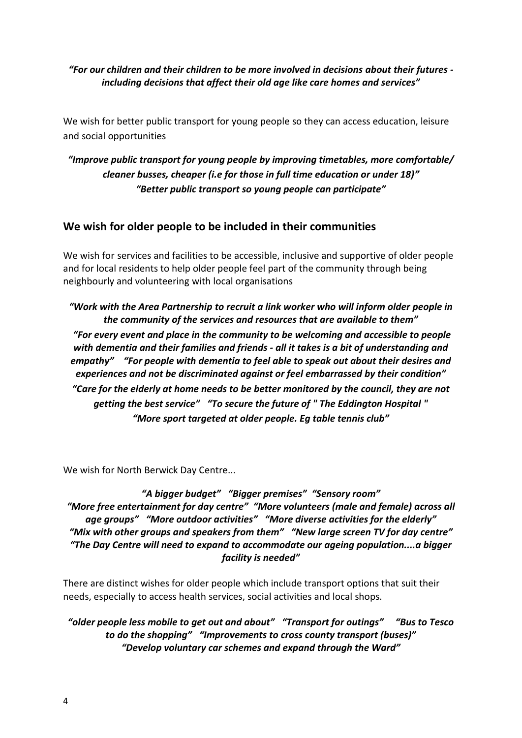#### *"For our children and their children to be more involved in decisions about their futures including decisions that affect their old age like care homes and services"*

We wish for better public transport for young people so they can access education, leisure and social opportunities

## *"Improve public transport for young people by improving timetables, more comfortable/ cleaner busses, cheaper (i.e for those in full time education or under 18)" "Better public transport so young people can participate"*

## **We wish for older people to be included in their communities**

We wish for services and facilities to be accessible, inclusive and supportive of older people and for local residents to help older people feel part of the community through being neighbourly and volunteering with local organisations

*"Work with the Area Partnership to recruit a link worker who will inform older people in the community of the services and resources that are available to them" "For every event and place in the community to be welcoming and accessible to people with dementia and their families and friends - all it takes is a bit of understanding and empathy" "For people with dementia to feel able to speak out about their desires and experiences and not be discriminated against or feel embarrassed by their condition" "Care for the elderly at home needs to be better monitored by the council, they are not getting the best service" "To secure the future of " The Eddington Hospital " "More sport targeted at older people. Eg table tennis club"*

We wish for North Berwick Day Centre...

*"A bigger budget" "Bigger premises" "Sensory room" "More free entertainment for day centre" "More volunteers (male and female) across all age groups" "More outdoor activities" "More diverse activities for the elderly" "Mix with other groups and speakers from them" "New large screen TV for day centre" "The Day Centre will need to expand to accommodate our ageing population....a bigger facility is needed"*

There are distinct wishes for older people which include transport options that suit their needs, especially to access health services, social activities and local shops.

*"older people less mobile to get out and about" "Transport for outings" "Bus to Tesco to do the shopping" "Improvements to cross county transport (buses)" "Develop voluntary car schemes and expand through the Ward"*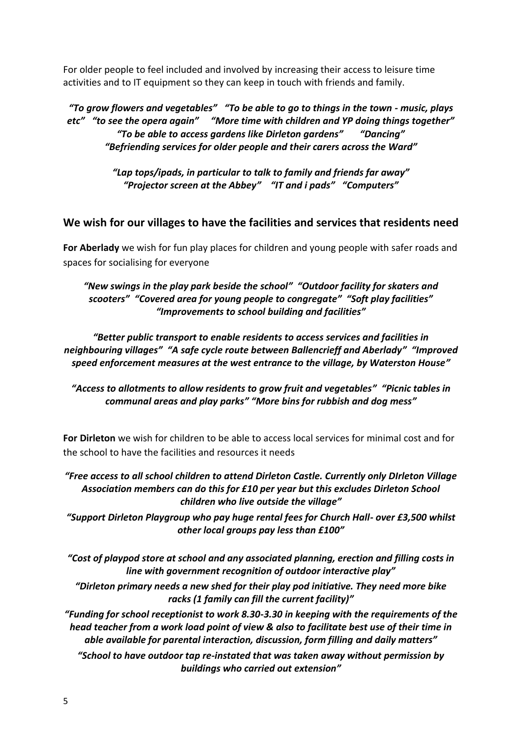For older people to feel included and involved by increasing their access to leisure time activities and to IT equipment so they can keep in touch with friends and family.

*"To grow flowers and vegetables" "To be able to go to things in the town - music, plays etc" "to see the opera again" "More time with children and YP doing things together" "To be able to access gardens like Dirleton gardens" "Dancing" "Befriending services for older people and their carers across the Ward"*

> *"Lap tops/ipads, in particular to talk to family and friends far away" "Projector screen at the Abbey" "IT and i pads" "Computers"*

#### **We wish for our villages to have the facilities and services that residents need**

**For Aberlady** we wish for fun play places for children and young people with safer roads and spaces for socialising for everyone

*"New swings in the play park beside the school" "Outdoor facility for skaters and scooters" "Covered area for young people to congregate" "Soft play facilities" "Improvements to school building and facilities"*

*"Better public transport to enable residents to access services and facilities in neighbouring villages" "A safe cycle route between Ballencrieff and Aberlady" "Improved speed enforcement measures at the west entrance to the village, by Waterston House"*

*"Access to allotments to allow residents to grow fruit and vegetables" "Picnic tables in communal areas and play parks" "More bins for rubbish and dog mess"*

**For Dirleton** we wish for children to be able to access local services for minimal cost and for the school to have the facilities and resources it needs

*"Free access to all school children to attend Dirleton Castle. Currently only DIrleton Village Association members can do this for £10 per year but this excludes Dirleton School children who live outside the village"*

*"Support Dirleton Playgroup who pay huge rental fees for Church Hall- over £3,500 whilst other local groups pay less than £100"*

*"Cost of playpod store at school and any associated planning, erection and filling costs in line with government recognition of outdoor interactive play"*

*"Dirleton primary needs a new shed for their play pod initiative. They need more bike racks (1 family can fill the current facility)"*

*"Funding for school receptionist to work 8.30-3.30 in keeping with the requirements of the head teacher from a work load point of view & also to facilitate best use of their time in able available for parental interaction, discussion, form filling and daily matters"*

*"School to have outdoor tap re-instated that was taken away without permission by buildings who carried out extension"*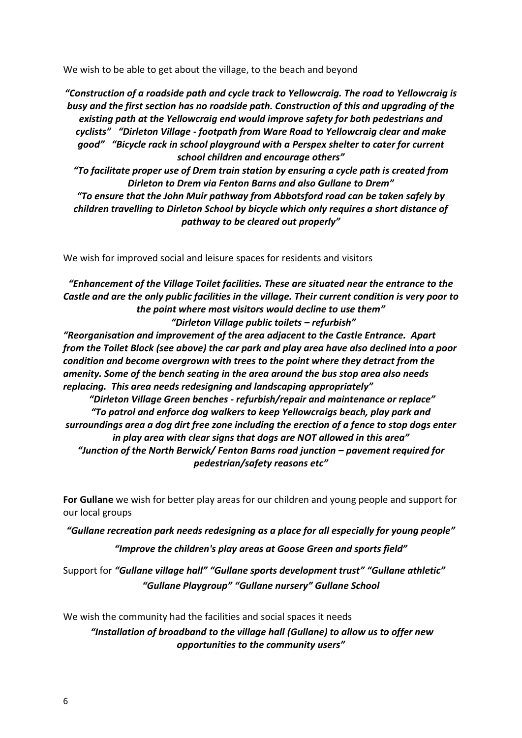We wish to be able to get about the village, to the beach and beyond

*"Construction of a roadside path and cycle track to Yellowcraig. The road to Yellowcraig is busy and the first section has no roadside path. Construction of this and upgrading of the existing path at the Yellowcraig end would improve safety for both pedestrians and cyclists" "Dirleton Village - footpath from Ware Road to Yellowcraig clear and make good" "Bicycle rack in school playground with a Perspex shelter to cater for current school children and encourage others"*

*"To facilitate proper use of Drem train station by ensuring a cycle path is created from Dirleton to Drem via Fenton Barns and also Gullane to Drem"*

*"To ensure that the John Muir pathway from Abbotsford road can be taken safely by children travelling to Dirleton School by bicycle which only requires a short distance of pathway to be cleared out properly"*

We wish for improved social and leisure spaces for residents and visitors

*"Enhancement of the Village Toilet facilities. These are situated near the entrance to the Castle and are the only public facilities in the village. Their current condition is very poor to the point where most visitors would decline to use them" "Dirleton Village public toilets – refurbish"*

*"Reorganisation and improvement of the area adjacent to the Castle Entrance. Apart from the Toilet Block (see above) the car park and play area have also declined into a poor condition and become overgrown with trees to the point where they detract from the amenity. Some of the bench seating in the area around the bus stop area also needs replacing. This area needs redesigning and landscaping appropriately"*

*"Dirleton Village Green benches - refurbish/repair and maintenance or replace" "To patrol and enforce dog walkers to keep Yellowcraigs beach, play park and surroundings area a dog dirt free zone including the erection of a fence to stop dogs enter in play area with clear signs that dogs are NOT allowed in this area" "Junction of the North Berwick/ Fenton Barns road junction – pavement required for pedestrian/safety reasons etc"*

**For Gullane** we wish for better play areas for our children and young people and support for our local groups

*"Gullane recreation park needs redesigning as a place for all especially for young people"*

*"Improve the children's play areas at Goose Green and sports field"*

Support for *"Gullane village hall" "Gullane sports development trust" "Gullane athletic" "Gullane Playgroup" "Gullane nursery" Gullane School*

We wish the community had the facilities and social spaces it needs

*"Installation of broadband to the village hall (Gullane) to allow us to offer new opportunities to the community users"*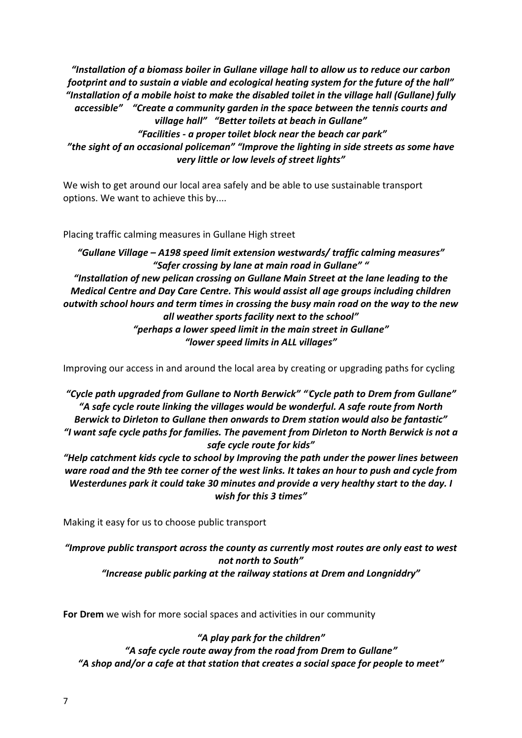*"Installation of a biomass boiler in Gullane village hall to allow us to reduce our carbon footprint and to sustain a viable and ecological heating system for the future of the hall" "Installation of a mobile hoist to make the disabled toilet in the village hall (Gullane) fully accessible" "Create a community garden in the space between the tennis courts and village hall" "Better toilets at beach in Gullane" "Facilities - a proper toilet block near the beach car park" "the sight of an occasional policeman" "Improve the lighting in side streets as some have very little or low levels of street lights"*

We wish to get around our local area safely and be able to use sustainable transport options. We want to achieve this by....

Placing traffic calming measures in Gullane High street

*"Gullane Village – A198 speed limit extension westwards/ traffic calming measures" "Safer crossing by lane at main road in Gullane" " "Installation of new pelican crossing on Gullane Main Street at the lane leading to the Medical Centre and Day Care Centre. This would assist all age groups including children outwith school hours and term times in crossing the busy main road on the way to the new all weather sports facility next to the school" "perhaps a lower speed limit in the main street in Gullane" "lower speed limits in ALL villages"*

Improving our access in and around the local area by creating or upgrading paths for cycling

*"Cycle path upgraded from Gullane to North Berwick" ""Cycle path to Drem from Gullane" "A safe cycle route linking the villages would be wonderful. A safe route from North Berwick to Dirleton to Gullane then onwards to Drem station would also be fantastic" "I want safe cycle paths for families. The pavement from Dirleton to North Berwick is not a safe cycle route for kids"*

*"Help catchment kids cycle to school by Improving the path under the power lines between ware road and the 9th tee corner of the west links. It takes an hour to push and cycle from Westerdunes park it could take 30 minutes and provide a very healthy start to the day. I wish for this 3 times"*

Making it easy for us to choose public transport

*"Improve public transport across the county as currently most routes are only east to west not north to South" "Increase public parking at the railway stations at Drem and Longniddry"*

**For Drem** we wish for more social spaces and activities in our community

*"A play park for the children" "A safe cycle route away from the road from Drem to Gullane" "A shop and/or a cafe at that station that creates a social space for people to meet"*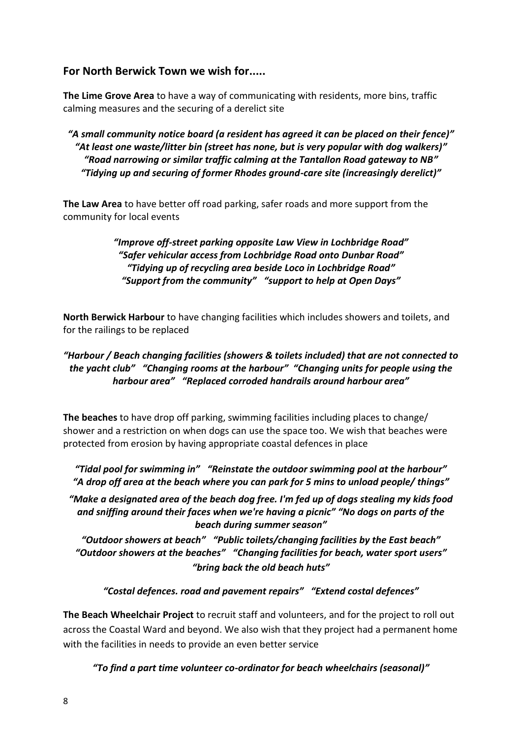## **For North Berwick Town we wish for.....**

**The Lime Grove Area** to have a way of communicating with residents, more bins, traffic calming measures and the securing of a derelict site

*"A small community notice board (a resident has agreed it can be placed on their fence)" "At least one waste/litter bin (street has none, but is very popular with dog walkers)" "Road narrowing or similar traffic calming at the Tantallon Road gateway to NB" "Tidying up and securing of former Rhodes ground-care site (increasingly derelict)"*

**The Law Area** to have better off road parking, safer roads and more support from the community for local events

#### *"Improve off-street parking opposite Law View in Lochbridge Road" "Safer vehicular access from Lochbridge Road onto Dunbar Road" "Tidying up of recycling area beside Loco in Lochbridge Road" "Support from the community" "support to help at Open Days"*

**North Berwick Harbour** to have changing facilities which includes showers and toilets, and for the railings to be replaced

#### *"Harbour / Beach changing facilities (showers & toilets included) that are not connected to the yacht club" "Changing rooms at the harbour" "Changing units for people using the harbour area" "Replaced corroded handrails around harbour area"*

**The beaches** to have drop off parking, swimming facilities including places to change/ shower and a restriction on when dogs can use the space too. We wish that beaches were protected from erosion by having appropriate coastal defences in place

*"Tidal pool for swimming in" "Reinstate the outdoor swimming pool at the harbour" "A drop off area at the beach where you can park for 5 mins to unload people/ things"*

*"Make a designated area of the beach dog free. I'm fed up of dogs stealing my kids food and sniffing around their faces when we're having a picnic" "No dogs on parts of the beach during summer season"*

*"Outdoor showers at beach" "Public toilets/changing facilities by the East beach" "Outdoor showers at the beaches" "Changing facilities for beach, water sport users" "bring back the old beach huts"*

*"Costal defences. road and pavement repairs" "Extend costal defences"*

**The Beach Wheelchair Project** to recruit staff and volunteers, and for the project to roll out across the Coastal Ward and beyond. We also wish that they project had a permanent home with the facilities in needs to provide an even better service

*"To find a part time volunteer co-ordinator for beach wheelchairs (seasonal)"*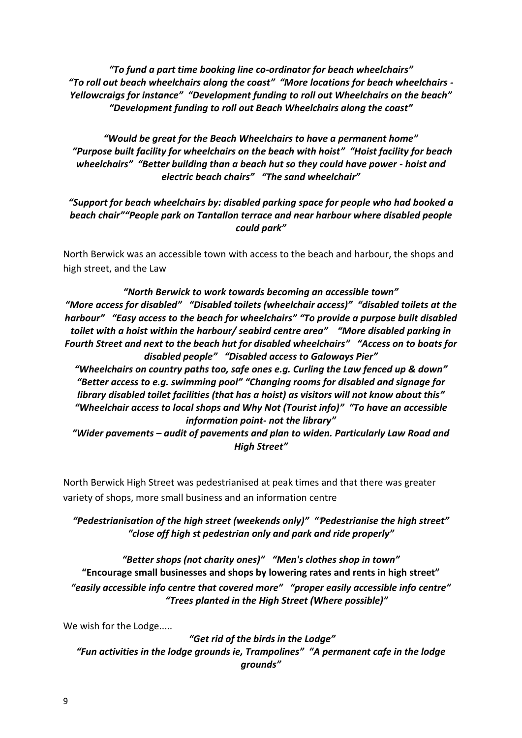*"To fund a part time booking line co-ordinator for beach wheelchairs" "To roll out beach wheelchairs along the coast" "More locations for beach wheelchairs - Yellowcraigs for instance" "Development funding to roll out Wheelchairs on the beach" "Development funding to roll out Beach Wheelchairs along the coast"*

*"Would be great for the Beach Wheelchairs to have a permanent home" "Purpose built facility for wheelchairs on the beach with hoist" "Hoist facility for beach wheelchairs"* "Better building than a beach hut so they could have power - hoist and *electric beach chairs" "The sand wheelchair"*

#### *"Support for beach wheelchairs by: disabled parking space for people who had booked a beach chair""People park on Tantallon terrace and near harbour where disabled people could park"*

North Berwick was an accessible town with access to the beach and harbour, the shops and high street, and the Law

*"North Berwick to work towards becoming an accessible town" "More access for disabled" "Disabled toilets (wheelchair access)" "disabled toilets at the harbour" "Easy access to the beach for wheelchairs" "To provide a purpose built disabled toilet with a hoist within the harbour/ seabird centre area" "More disabled parking in Fourth Street and next to the beach hut for disabled wheelchairs" "Access on to boats for disabled people" "Disabled access to Galoways Pier" "Wheelchairs on country paths too, safe ones e.g. Curling the Law fenced up & down" "Better access to e.g. swimming pool" "Changing rooms for disabled and signage for library disabled toilet facilities (that has a hoist) as visitors will not know about this" "Wheelchair access to local shops and Why Not (Tourist info)" "To have an accessible information point- not the library"*

*"Wider pavements – audit of pavements and plan to widen. Particularly Law Road and High Street"*

North Berwick High Street was pedestrianised at peak times and that there was greater variety of shops, more small business and an information centre

#### *"Pedestrianisation of the high street (weekends only)" ""Pedestrianise the high street" "close off high st pedestrian only and park and ride properly"*

*"Better shops (not charity ones)" "Men's clothes shop in town"* **"Encourage small businesses and shops by lowering rates and rents in high street"** *"easily accessible info centre that covered more" "proper easily accessible info centre" "Trees planted in the High Street (Where possible)"*

We wish for the Lodge.....

*"Get rid of the birds in the Lodge" "Fun activities in the lodge grounds ie, Trampolines" "A permanent cafe in the lodge grounds"*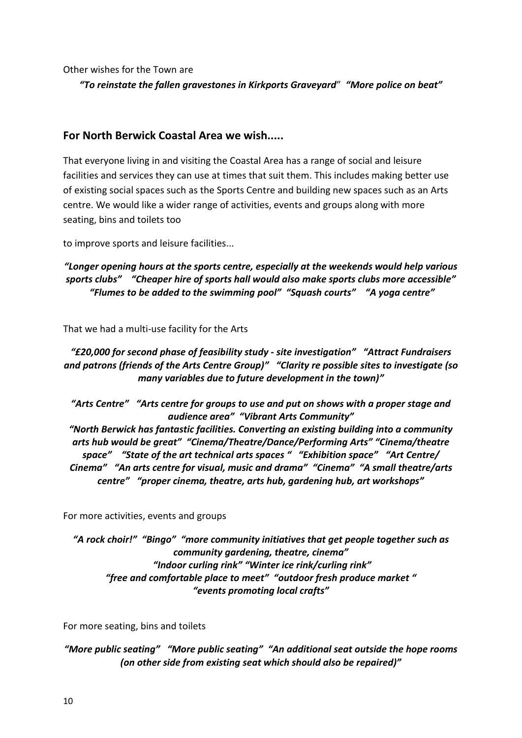Other wishes for the Town are

*"To reinstate the fallen gravestones in Kirkports Graveyard*" *"More police on beat"*

#### **For North Berwick Coastal Area we wish.....**

That everyone living in and visiting the Coastal Area has a range of social and leisure facilities and services they can use at times that suit them. This includes making better use of existing social spaces such as the Sports Centre and building new spaces such as an Arts centre. We would like a wider range of activities, events and groups along with more seating, bins and toilets too

to improve sports and leisure facilities...

#### *"Longer opening hours at the sports centre, especially at the weekends would help various sports clubs" "Cheaper hire of sports hall would also make sports clubs more accessible" "Flumes to be added to the swimming pool" "Squash courts" "A yoga centre"*

That we had a multi-use facility for the Arts

#### *"£20,000 for second phase of feasibility study - site investigation" "Attract Fundraisers and patrons (friends of the Arts Centre Group)" "Clarity re possible sites to investigate (so many variables due to future development in the town)"*

*"Arts Centre" "Arts centre for groups to use and put on shows with a proper stage and audience area" "Vibrant Arts Community" "North Berwick has fantastic facilities. Converting an existing building into a community arts hub would be great" "Cinema/Theatre/Dance/Performing Arts" "Cinema/theatre space" "State of the art technical arts spaces " "Exhibition space" "Art Centre/ Cinema" "An arts centre for visual, music and drama" "Cinema" "A small theatre/arts centre" "proper cinema, theatre, arts hub, gardening hub, art workshops"*

For more activities, events and groups

*"A rock choir!" "Bingo" "more community initiatives that get people together such as community gardening, theatre, cinema" "Indoor curling rink" "Winter ice rink/curling rink" "free and comfortable place to meet" "outdoor fresh produce market " "events promoting local crafts"*

For more seating, bins and toilets

*"More public seating" "More public seating" "An additional seat outside the hope rooms (on other side from existing seat which should also be repaired)"*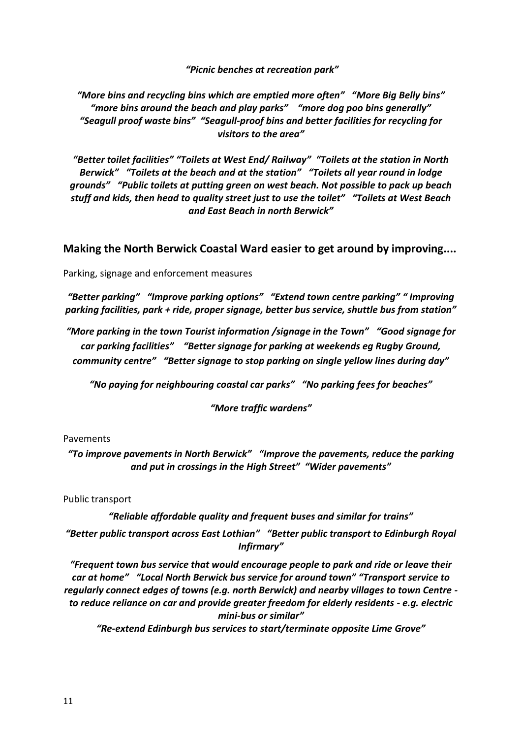*"Picnic benches at recreation park"*

*"More bins and recycling bins which are emptied more often" "More Big Belly bins" "more bins around the beach and play parks" "more dog poo bins generally" "Seagull proof waste bins" "Seagull-proof bins and better facilities for recycling for visitors to the area"*

*"Better toilet facilities" "Toilets at West End/ Railway" "Toilets at the station in North Berwick" "Toilets at the beach and at the station" "Toilets all year round in lodge grounds" "Public toilets at putting green on west beach. Not possible to pack up beach stuff and kids, then head to quality street just to use the toilet" "Toilets at West Beach and East Beach in north Berwick"*

**Making the North Berwick Coastal Ward easier to get around by improving....**

Parking, signage and enforcement measures

*"Better parking" "Improve parking options" "Extend town centre parking" " Improving parking facilities, park + ride, proper signage, better bus service, shuttle bus from station"*

*"More parking in the town Tourist information /signage in the Town" "Good signage for car parking facilities" "Better signage for parking at weekends eg Rugby Ground, community centre" "Better signage to stop parking on single yellow lines during day"*

*"No paying for neighbouring coastal car parks" "No parking fees for beaches"*

*"More traffic wardens"*

#### Pavements

*"To improve pavements in North Berwick" "Improve the pavements, reduce the parking and put in crossings in the High Street" "Wider pavements"*

Public transport

*"Reliable affordable quality and frequent buses and similar for trains"*

*"Better public transport across East Lothian" "Better public transport to Edinburgh Royal Infirmary"*

*"Frequent town bus service that would encourage people to park and ride or leave their car at home" "Local North Berwick bus service for around town" "Transport service to regularly connect edges of towns (e.g. north Berwick) and nearby villages to town Centre to reduce reliance on car and provide greater freedom for elderly residents - e.g. electric mini-bus or similar"*

*"Re-extend Edinburgh bus services to start/terminate opposite Lime Grove"*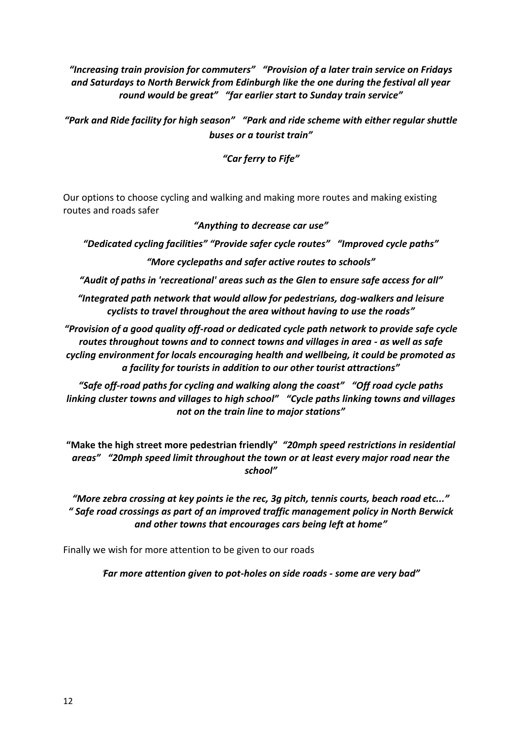*"Increasing train provision for commuters" "Provision of a later train service on Fridays and Saturdays to North Berwick from Edinburgh like the one during the festival all year round would be great" "far earlier start to Sunday train service"*

*"Park and Ride facility for high season" "Park and ride scheme with either regular shuttle buses or a tourist train"*

*"Car ferry to Fife"*

Our options to choose cycling and walking and making more routes and making existing routes and roads safer

#### *"Anything to decrease car use"*

*"Dedicated cycling facilities" "Provide safer cycle routes" "Improved cycle paths"*

*"More cyclepaths and safer active routes to schools"*

*"Audit of paths in 'recreational' areas such as the Glen to ensure safe access for all"*

*"Integrated path network that would allow for pedestrians, dog-walkers and leisure cyclists to travel throughout the area without having to use the roads"*

*"Provision of a good quality off-road or dedicated cycle path network to provide safe cycle routes throughout towns and to connect towns and villages in area - as well as safe cycling environment for locals encouraging health and wellbeing, it could be promoted as a facility for tourists in addition to our other tourist attractions"*

*"Safe off-road paths for cycling and walking along the coast" "Off road cycle paths linking cluster towns and villages to high school" "Cycle paths linking towns and villages not on the train line to major stations"*

**"Make the high street more pedestrian friendly"** *"20mph speed restrictions in residential areas"**"20mph speed limit throughout the town or at least every major road near the school"*

*"More zebra crossing at key points ie the rec, 3g pitch, tennis courts, beach road etc..." " Safe road crossings as part of an improved traffic management policy in North Berwick and other towns that encourages cars being left at home"*

Finally we wish for more attention to be given to our roads

*"Far more attention given to pot-holes on side roads - some are very bad"*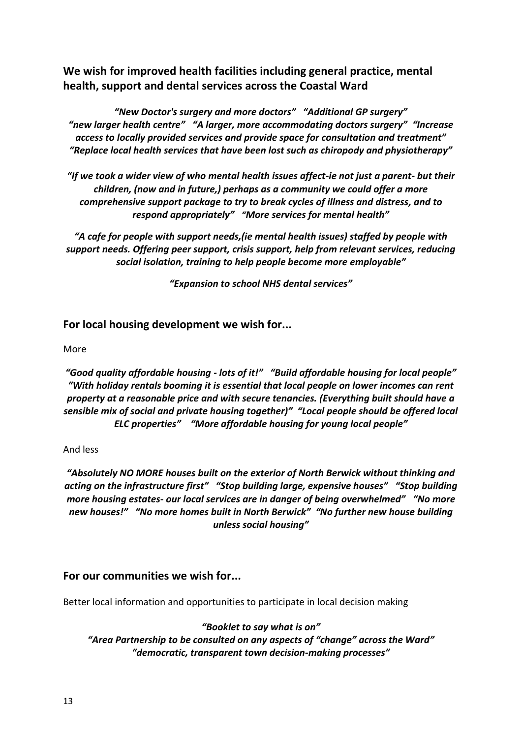**We wish for improved health facilities including general practice, mental health, support and dental services across the Coastal Ward** 

*"New Doctor's surgery and more doctors" "Additional GP surgery" "new larger health centre" "A larger, more accommodating doctors surgery" "Increase access to locally provided services and provide space for consultation and treatment" "Replace local health services that have been lost such as chiropody and physiotherapy"*

*"If we took a wider view of who mental health issues affect-ie not just a parent- but their children, (now and in future,) perhaps as a community we could offer a more comprehensive support package to try to break cycles of illness and distress, and to respond appropriately" "More services for mental health"*

*"A cafe for people with support needs,(ie mental health issues) staffed by people with support needs. Offering peer support, crisis support, help from relevant services, reducing social isolation, training to help people become more employable"*

*"Expansion to school NHS dental services"*

#### **For local housing development we wish for...**

#### More

*"Good quality affordable housing - lots of it!" "Build affordable housing for local people" "With holiday rentals booming it is essential that local people on lower incomes can rent property at a reasonable price and with secure tenancies. (Everything built should have a sensible mix of social and private housing together)" "Local people should be offered local ELC properties" "More affordable housing for young local people"*

#### And less

*"Absolutely NO MORE houses built on the exterior of North Berwick without thinking and acting on the infrastructure first" "Stop building large, expensive houses" "Stop building more housing estates- our local services are in danger of being overwhelmed" "No more new houses!" "No more homes built in North Berwick" "No further new house building unless social housing"*

#### **For our communities we wish for...**

Better local information and opportunities to participate in local decision making

*"Booklet to say what is on" "Area Partnership to be consulted on any aspects of "change" across the Ward" "democratic, transparent town decision-making processes"*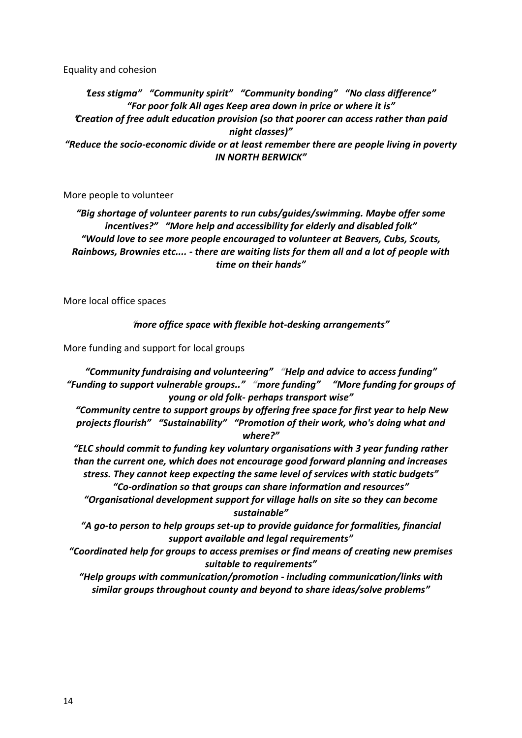Equality and cohesion

*"Less stigma" "Community spirit" "Community bonding" "No class difference" "For poor folk All ages Keep area down in price or where it is" "Creation of free adult education provision (so that poorer can access rather than paid night classes)" "Reduce the socio-economic divide or at least remember there are people living in poverty IN NORTH BERWICK"*

More people to volunteer

*"Big shortage of volunteer parents to run cubs/guides/swimming. Maybe offer some incentives?" "More help and accessibility for elderly and disabled folk" "Would love to see more people encouraged to volunteer at Beavers, Cubs, Scouts, Rainbows, Brownies etc.... - there are waiting lists for them all and a lot of people with time on their hands"*

More local office spaces

*"more office space with flexible hot-desking arrangements"*

More funding and support for local groups

*"Community fundraising and volunteering" "Help and advice to access funding" "Funding to support vulnerable groups.." "more funding" "More funding for groups of young or old folk- perhaps transport wise"*

*"Community centre to support groups by offering free space for first year to help New projects flourish" "Sustainability" "Promotion of their work, who's doing what and where?"*

*"ELC should commit to funding key voluntary organisations with 3 year funding rather than the current one, which does not encourage good forward planning and increases stress. They cannot keep expecting the same level of services with static budgets" "Co-ordination so that groups can share information and resources"*

*"Organisational development support for village halls on site so they can become sustainable"*

*"A go-to person to help groups set-up to provide guidance for formalities, financial support available and legal requirements"*

*"Coordinated help for groups to access premises or find means of creating new premises suitable to requirements"*

*"Help groups with communication/promotion - including communication/links with similar groups throughout county and beyond to share ideas/solve problems"*